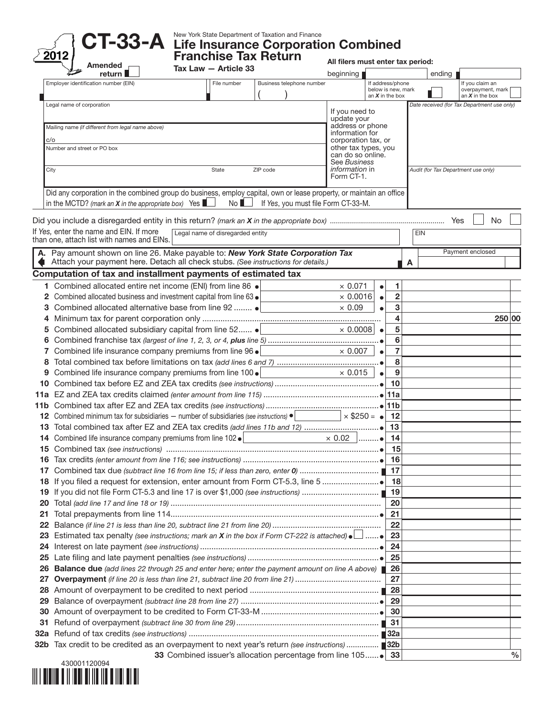

CT-33-A Life Insurance Corporation Combined

Franchise Tax Return

All filers must enter tax period:

| Amended                                                                                                                    | Tax Law - Article 33             |                                     | ווופוס ווועסג פוונפו נמג טפווטע<br>beginning |           |                                         |            |        |                                             |               |
|----------------------------------------------------------------------------------------------------------------------------|----------------------------------|-------------------------------------|----------------------------------------------|-----------|-----------------------------------------|------------|--------|---------------------------------------------|---------------|
| return l<br>Employer identification number (EIN)                                                                           | File number                      | Business telephone number           |                                              |           | If address/phone                        |            | ending | If you claim an                             |               |
|                                                                                                                            |                                  |                                     |                                              |           | below is new, mark<br>an $X$ in the box |            |        | overpayment, mark<br>an $X$ in the box      |               |
| Legal name of corporation                                                                                                  |                                  |                                     |                                              |           |                                         |            |        | Date received (for Tax Department use only) |               |
|                                                                                                                            |                                  |                                     | If you need to                               |           |                                         |            |        |                                             |               |
| Mailing name (if different from legal name above)                                                                          |                                  |                                     | update your<br>address or phone              |           |                                         |            |        |                                             |               |
|                                                                                                                            |                                  |                                     | information for                              |           |                                         |            |        |                                             |               |
| C/O<br>Number and street or PO box                                                                                         |                                  |                                     | corporation tax, or<br>other tax types, you  |           |                                         |            |        |                                             |               |
|                                                                                                                            |                                  |                                     | can do so online.                            |           |                                         |            |        |                                             |               |
| City                                                                                                                       | State                            | ZIP code                            | See Business<br><i>information</i> in        |           |                                         |            |        | Audit (for Tax Department use only)         |               |
|                                                                                                                            |                                  |                                     | Form CT-1.                                   |           |                                         |            |        |                                             |               |
| Did any corporation in the combined group do business, employ capital, own or lease property, or maintain an office        |                                  |                                     |                                              |           |                                         |            |        |                                             |               |
| in the MCTD? (mark an $X$ in the appropriate box) Yes $\blacksquare$                                                       | No                               | If Yes, you must file Form CT-33-M. |                                              |           |                                         |            |        |                                             |               |
|                                                                                                                            |                                  |                                     |                                              |           |                                         |            |        |                                             |               |
|                                                                                                                            |                                  |                                     |                                              |           |                                         |            |        | No.                                         |               |
| If Yes, enter the name and EIN. If more<br>than one, attach list with names and EINs.                                      | Legal name of disregarded entity |                                     |                                              |           |                                         | <b>EIN</b> |        |                                             |               |
| A. Pay amount shown on line 26. Make payable to: New York State Corporation Tax                                            |                                  |                                     |                                              |           |                                         |            |        | Payment enclosed                            |               |
| Attach your payment here. Detach all check stubs. (See instructions for details.)                                          |                                  |                                     |                                              |           |                                         | A          |        |                                             |               |
| Computation of tax and installment payments of estimated tax                                                               |                                  |                                     |                                              |           |                                         |            |        |                                             |               |
| 1 Combined allocated entire net income (ENI) from line 86 .                                                                |                                  |                                     | $\times$ 0.071                               |           | 1                                       |            |        |                                             |               |
| Combined allocated business and investment capital from line 63 .                                                          |                                  |                                     | $\times$ 0.0016                              | $\bullet$ | $\overline{2}$                          |            |        |                                             |               |
| Combined allocated alternative base from line 92<br>3                                                                      |                                  |                                     | $\times$ 0.09                                |           | 3                                       |            |        |                                             |               |
| 4                                                                                                                          |                                  |                                     |                                              |           | 4                                       |            |        |                                             | 250 00        |
| Combined allocated subsidiary capital from line 52 .<br>5                                                                  |                                  |                                     | $\times$ 0.0008                              | $\bullet$ | 5                                       |            |        |                                             |               |
| 6                                                                                                                          |                                  |                                     |                                              |           | 6                                       |            |        |                                             |               |
| Combined life insurance company premiums from line 96 .<br>7                                                               |                                  |                                     | $\times$ 0.007                               |           | $\overline{7}$                          |            |        |                                             |               |
| 8                                                                                                                          |                                  |                                     |                                              |           | 8                                       |            |        |                                             |               |
| Combined life insurance company premiums from line 100 .<br>9                                                              |                                  |                                     | $\times$ 0.015                               |           | 9                                       |            |        |                                             |               |
| 10                                                                                                                         |                                  |                                     |                                              |           | 10                                      |            |        |                                             |               |
|                                                                                                                            |                                  |                                     |                                              |           |                                         |            |        |                                             |               |
|                                                                                                                            |                                  |                                     |                                              |           |                                         |            |        |                                             |               |
| Combined minimum tax for subsidiaries - number of subsidiaries (see instructions) $\bullet$                                |                                  |                                     | $\times$ \$250 = $\bullet$                   |           | 12                                      |            |        |                                             |               |
| 13                                                                                                                         |                                  |                                     |                                              |           | 13                                      |            |        |                                             |               |
| Combined life insurance company premiums from line 102 ·<br>14                                                             |                                  |                                     | $\times$ 0.02                                | . 0       | 14                                      |            |        |                                             |               |
|                                                                                                                            |                                  |                                     |                                              |           | 15                                      |            |        |                                             |               |
|                                                                                                                            |                                  |                                     |                                              |           | 16                                      |            |        |                                             |               |
|                                                                                                                            |                                  |                                     |                                              |           | 17                                      |            |        |                                             |               |
|                                                                                                                            |                                  |                                     |                                              |           | 18                                      |            |        |                                             |               |
| 19                                                                                                                         |                                  |                                     |                                              |           |                                         |            |        |                                             |               |
| 20                                                                                                                         |                                  |                                     |                                              |           | 20                                      |            |        |                                             |               |
| 21                                                                                                                         |                                  |                                     |                                              |           | 21                                      |            |        |                                             |               |
| 22                                                                                                                         |                                  |                                     |                                              |           | 22                                      |            |        |                                             |               |
| Estimated tax penalty (see instructions; mark an X in the box if Form CT-222 is attached) $\bullet$ ______ $\bullet$<br>23 |                                  |                                     |                                              |           | 23                                      |            |        |                                             |               |
| 24                                                                                                                         |                                  |                                     |                                              |           | 24                                      |            |        |                                             |               |
| 25                                                                                                                         |                                  |                                     |                                              |           | 25                                      |            |        |                                             |               |
| <b>Balance due</b> (add lines 22 through 25 and enter here; enter the payment amount on line A above)<br>26                |                                  |                                     |                                              |           | 26                                      |            |        |                                             |               |
| 27                                                                                                                         |                                  |                                     |                                              |           | 27                                      |            |        |                                             |               |
| 28                                                                                                                         |                                  |                                     |                                              |           | 28                                      |            |        |                                             |               |
| 29                                                                                                                         |                                  |                                     |                                              |           | 29                                      |            |        |                                             |               |
| 30                                                                                                                         |                                  |                                     |                                              |           | 30                                      |            |        |                                             |               |
| 31                                                                                                                         |                                  |                                     |                                              |           | 31                                      |            |        |                                             |               |
| 32a                                                                                                                        |                                  |                                     |                                              |           |                                         |            |        |                                             |               |
| Tax credit to be credited as an overpayment to next year's return (see instructions)  32b<br>32b                           |                                  |                                     |                                              |           |                                         |            |        |                                             |               |
|                                                                                                                            |                                  |                                     |                                              |           |                                         |            |        |                                             | $\frac{0}{0}$ |

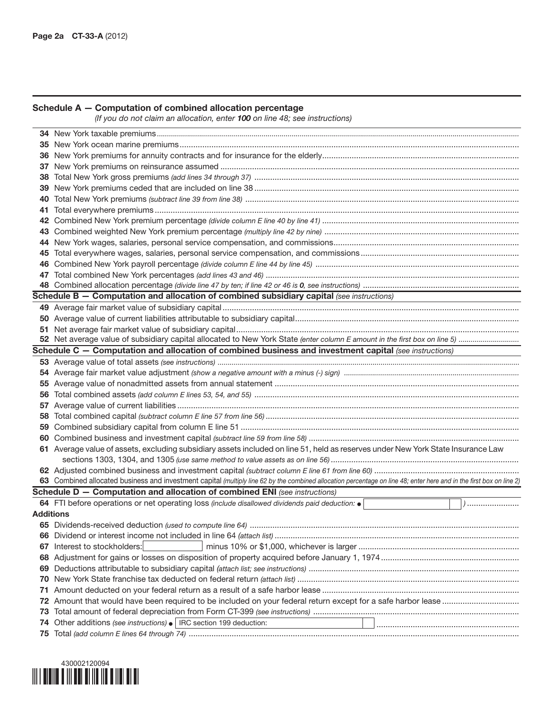## Schedule A — Computation of combined allocation percentage

*(If you do not claim an allocation, enter 100 on line 48; see instructions)*

| 37  |                                                                                                                                                                      |
|-----|----------------------------------------------------------------------------------------------------------------------------------------------------------------------|
| 38. |                                                                                                                                                                      |
|     |                                                                                                                                                                      |
| 40  |                                                                                                                                                                      |
|     |                                                                                                                                                                      |
| 42  |                                                                                                                                                                      |
|     |                                                                                                                                                                      |
|     |                                                                                                                                                                      |
|     |                                                                                                                                                                      |
|     |                                                                                                                                                                      |
|     |                                                                                                                                                                      |
|     |                                                                                                                                                                      |
|     | Schedule B - Computation and allocation of combined subsidiary capital (see instructions)                                                                            |
|     |                                                                                                                                                                      |
|     |                                                                                                                                                                      |
|     |                                                                                                                                                                      |
|     |                                                                                                                                                                      |
|     | Schedule C - Computation and allocation of combined business and investment capital (see instructions)                                                               |
|     |                                                                                                                                                                      |
|     |                                                                                                                                                                      |
|     |                                                                                                                                                                      |
|     |                                                                                                                                                                      |
|     |                                                                                                                                                                      |
|     |                                                                                                                                                                      |
| 59  |                                                                                                                                                                      |
|     |                                                                                                                                                                      |
|     | 61 Average value of assets, excluding subsidiary assets included on line 51, held as reserves under New York State Insurance Law                                     |
|     |                                                                                                                                                                      |
|     |                                                                                                                                                                      |
|     | 63 Combined allocated business and investment capital (multiply line 62 by the combined allocation percentage on line 48; enter here and in the first box on line 2) |
|     | Schedule D - Computation and allocation of combined ENI (see instructions)                                                                                           |
|     | 64 FTI before operations or net operating loss (include disallowed dividends paid deduction: $\bullet$<br>()                                                         |
|     | Additions                                                                                                                                                            |
|     |                                                                                                                                                                      |
|     |                                                                                                                                                                      |
|     | <b>67</b> Interest to stockholders:                                                                                                                                  |
|     |                                                                                                                                                                      |
| 69. |                                                                                                                                                                      |
|     |                                                                                                                                                                      |
| 71  |                                                                                                                                                                      |
|     |                                                                                                                                                                      |
| 73  |                                                                                                                                                                      |
| 74  | Other additions (see instructions) •   IRC section 199 deduction:                                                                                                    |
|     |                                                                                                                                                                      |

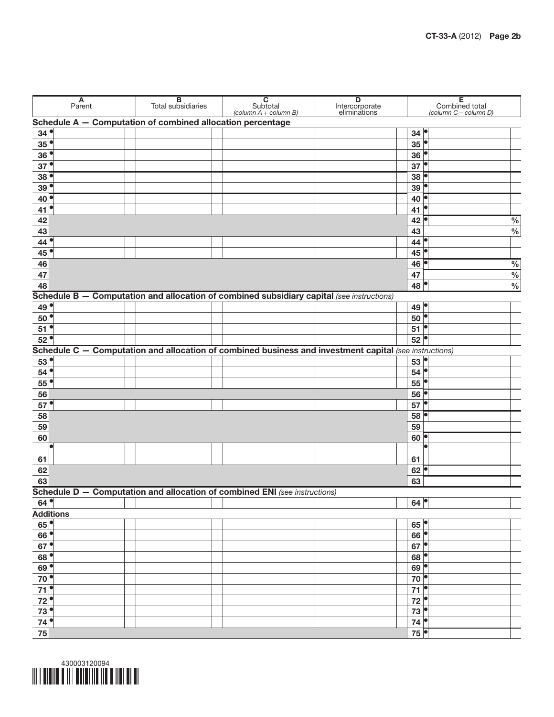|                                      | $A$<br>Parent |  | <b>B</b><br>Total subsidiaries                             | C<br>Subtotal<br>$\left(\text{column } A + \text{column } B\right)$        | $\overline{D}$<br>Intercorporate<br>eliminations                                                       |                     | Е<br>Combined total<br>(column C - column D) |               |
|--------------------------------------|---------------|--|------------------------------------------------------------|----------------------------------------------------------------------------|--------------------------------------------------------------------------------------------------------|---------------------|----------------------------------------------|---------------|
|                                      |               |  | Schedule A - Computation of combined allocation percentage |                                                                            |                                                                                                        |                     |                                              |               |
| 34 <sup>°</sup>                      |               |  |                                                            |                                                                            |                                                                                                        | 34 <sup>°</sup>     |                                              |               |
| $35$ <sup><math>\bullet</math></sup> |               |  |                                                            |                                                                            |                                                                                                        | 35                  |                                              |               |
| 36                                   |               |  |                                                            |                                                                            |                                                                                                        | 36                  |                                              |               |
| $37$ <sup><math>\circ</math></sup>   |               |  |                                                            |                                                                            |                                                                                                        | 37                  |                                              |               |
| 38                                   |               |  |                                                            |                                                                            |                                                                                                        | 38                  |                                              |               |
| 39 <sup>°</sup>                      |               |  |                                                            |                                                                            |                                                                                                        | 39                  |                                              |               |
| 40                                   |               |  |                                                            |                                                                            |                                                                                                        | 40                  |                                              |               |
| $41$ <sup>o</sup>                    |               |  |                                                            |                                                                            |                                                                                                        | 41                  |                                              |               |
| 42                                   |               |  |                                                            |                                                                            |                                                                                                        | 42                  |                                              | $\%$          |
| 43                                   |               |  |                                                            |                                                                            |                                                                                                        | 43                  |                                              | $\frac{0}{0}$ |
| $44^{\circ}$                         |               |  |                                                            |                                                                            |                                                                                                        | 44                  |                                              |               |
| 45                                   |               |  |                                                            |                                                                            |                                                                                                        | 45                  |                                              |               |
| 46                                   |               |  |                                                            |                                                                            |                                                                                                        | 46                  |                                              | $\frac{0}{0}$ |
| 47                                   |               |  |                                                            |                                                                            |                                                                                                        | 47                  |                                              | $\frac{0}{6}$ |
| 48                                   |               |  |                                                            |                                                                            |                                                                                                        | 48                  |                                              | $\frac{0}{0}$ |
|                                      |               |  |                                                            |                                                                            | Schedule B - Computation and allocation of combined subsidiary capital (see instructions)              |                     |                                              |               |
|                                      |               |  |                                                            |                                                                            |                                                                                                        |                     |                                              |               |
| 49 <sup>°</sup>                      |               |  |                                                            |                                                                            |                                                                                                        | $49^{\circ}$        |                                              |               |
| $50$ <sup><math>\bullet</math></sup> |               |  |                                                            |                                                                            |                                                                                                        | 50                  |                                              |               |
| $51$ <sup>o</sup>                    |               |  |                                                            |                                                                            |                                                                                                        | 51                  |                                              |               |
| $52$ <sup>o</sup>                    |               |  |                                                            |                                                                            |                                                                                                        | 52                  |                                              |               |
|                                      |               |  |                                                            |                                                                            | Schedule C - Computation and allocation of combined business and investment capital (see instructions) |                     |                                              |               |
| 53                                   |               |  |                                                            |                                                                            |                                                                                                        | 53                  |                                              |               |
| 54                                   |               |  |                                                            |                                                                            |                                                                                                        | 54                  |                                              |               |
| $55^{\circ}$                         |               |  |                                                            |                                                                            |                                                                                                        | 55                  |                                              |               |
| 56                                   |               |  |                                                            |                                                                            |                                                                                                        | 56                  | p                                            |               |
| $57^{\circ}$                         |               |  |                                                            |                                                                            |                                                                                                        | 57                  |                                              |               |
| 58                                   |               |  |                                                            |                                                                            |                                                                                                        | 58                  |                                              |               |
| 59                                   |               |  |                                                            |                                                                            |                                                                                                        | 59                  |                                              |               |
| 60                                   |               |  |                                                            |                                                                            |                                                                                                        | 60                  |                                              |               |
|                                      |               |  |                                                            |                                                                            |                                                                                                        |                     |                                              |               |
| 61                                   |               |  |                                                            |                                                                            |                                                                                                        | 61                  |                                              |               |
| 62                                   |               |  |                                                            |                                                                            |                                                                                                        | 62                  |                                              |               |
| 63                                   |               |  |                                                            |                                                                            |                                                                                                        | 63                  |                                              |               |
|                                      |               |  |                                                            | Schedule D - Computation and allocation of combined ENI (see instructions) |                                                                                                        |                     |                                              |               |
| $64^{\circ}$                         |               |  |                                                            |                                                                            |                                                                                                        | $64$                |                                              |               |
| <b>Additions</b>                     |               |  |                                                            |                                                                            |                                                                                                        |                     |                                              |               |
| 65                                   |               |  |                                                            |                                                                            |                                                                                                        | 65                  |                                              |               |
| 66                                   |               |  |                                                            |                                                                            |                                                                                                        | 66                  | $\overline{\bullet}$                         |               |
| $67^{\circ}$                         |               |  |                                                            |                                                                            |                                                                                                        | 67                  | $\overline{\phantom{a}}$                     |               |
| 68                                   |               |  |                                                            |                                                                            |                                                                                                        | 68                  | $\overline{\phantom{a}}$                     |               |
| 69                                   |               |  |                                                            |                                                                            |                                                                                                        | 69                  | $\overline{\bullet}$                         |               |
| $\overline{70}$                      |               |  |                                                            |                                                                            |                                                                                                        | 70                  | $\overline{\bullet}$                         |               |
| $\overline{71}$                      |               |  |                                                            |                                                                            |                                                                                                        | 71                  | $\overline{\bullet}$                         |               |
| 72                                   |               |  |                                                            |                                                                            |                                                                                                        | 72                  | $\overline{\phantom{a}}$                     |               |
| 73<br>$\bullet$                      |               |  |                                                            |                                                                            |                                                                                                        | 73                  | $\overline{\bullet}$                         |               |
| $\bullet$<br>74                      |               |  |                                                            |                                                                            |                                                                                                        | 74                  |                                              |               |
| 75                                   |               |  |                                                            |                                                                            |                                                                                                        | $75$ $\blacksquare$ |                                              |               |
|                                      |               |  |                                                            |                                                                            |                                                                                                        |                     |                                              |               |

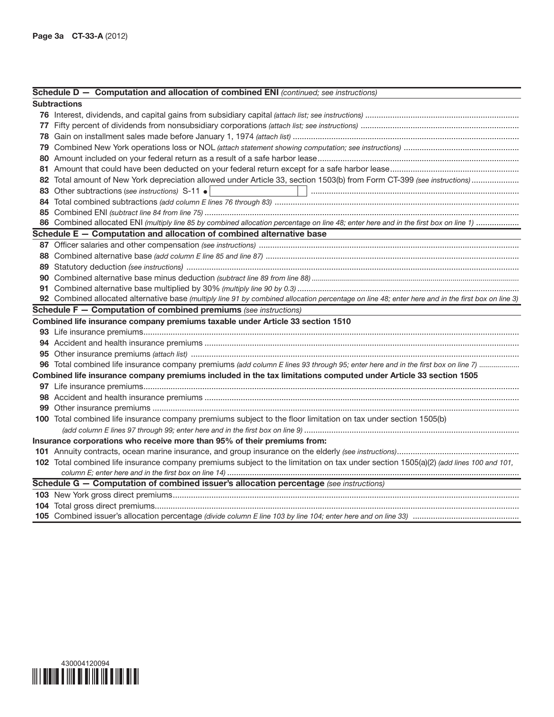## Schedule D — Computation and allocation of combined ENI *(continued; see instructions)*

| Subtractions                                                                                                                                      |
|---------------------------------------------------------------------------------------------------------------------------------------------------|
|                                                                                                                                                   |
|                                                                                                                                                   |
|                                                                                                                                                   |
|                                                                                                                                                   |
|                                                                                                                                                   |
|                                                                                                                                                   |
|                                                                                                                                                   |
| 83 Other subtractions (see instructions) S-11 .<br><u> 1999 - Johann John Stein, f</u>                                                            |
|                                                                                                                                                   |
|                                                                                                                                                   |
| 86 Combined allocated ENI (multiply line 85 by combined allocation percentage on line 48; enter here and in the first box on line 1)              |
| Schedule E - Computation and allocation of combined alternative base                                                                              |
|                                                                                                                                                   |
|                                                                                                                                                   |
|                                                                                                                                                   |
|                                                                                                                                                   |
|                                                                                                                                                   |
| 92 Combined allocated alternative base (multiply line 91 by combined allocation percentage on line 48; enter here and in the first box on line 3) |
| <b>Schedule F - Computation of combined premiums</b> (see instructions)                                                                           |
| Combined life insurance company premiums taxable under Article 33 section 1510                                                                    |
|                                                                                                                                                   |
|                                                                                                                                                   |
|                                                                                                                                                   |
| 96 Total combined life insurance company premiums (add column E lines 93 through 95; enter here and in the first box on line 7)                   |
| Combined life insurance company premiums included in the tax limitations computed under Article 33 section 1505                                   |
|                                                                                                                                                   |
|                                                                                                                                                   |
|                                                                                                                                                   |
| 100 Total combined life insurance company premiums subject to the floor limitation on tax under section 1505(b)                                   |
|                                                                                                                                                   |
| Insurance corporations who receive more than 95% of their premiums from:                                                                          |
|                                                                                                                                                   |
| 102 Total combined life insurance company premiums subject to the limitation on tax under section 1505(a)(2) (add lines 100 and 101,              |
|                                                                                                                                                   |
| Schedule G - Computation of combined issuer's allocation percentage (see instructions)                                                            |
|                                                                                                                                                   |
|                                                                                                                                                   |
|                                                                                                                                                   |

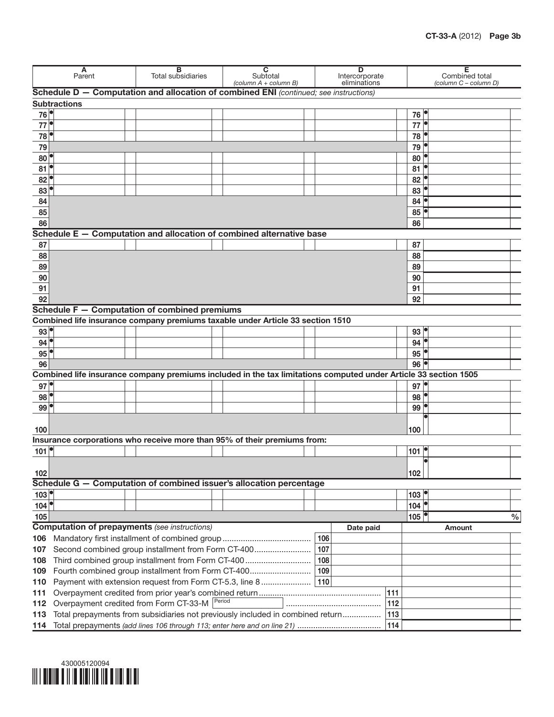| A<br>Parent                          |                                                      | в<br><b>Total subsidiaries</b> | $\overline{\mathbf{c}}$<br>Subtotal<br>(column $A$ + column B)                                                  |        | D<br>Intercorporate<br>eliminations |           | Е<br>Combined total | (column C - column D)                |        |      |
|--------------------------------------|------------------------------------------------------|--------------------------------|-----------------------------------------------------------------------------------------------------------------|--------|-------------------------------------|-----------|---------------------|--------------------------------------|--------|------|
|                                      |                                                      |                                | Schedule D - Computation and allocation of combined ENI (continued; see instructions)                           |        |                                     |           |                     |                                      |        |      |
|                                      | <b>Subtractions</b>                                  |                                |                                                                                                                 |        |                                     |           |                     |                                      |        |      |
| 76 <sup> </sup>                      |                                                      |                                |                                                                                                                 |        |                                     |           |                     | 76                                   |        |      |
| 77                                   |                                                      |                                |                                                                                                                 |        |                                     |           |                     | 77                                   |        |      |
| 78                                   |                                                      |                                |                                                                                                                 |        |                                     |           |                     | 78                                   |        |      |
| 79                                   |                                                      |                                |                                                                                                                 |        |                                     |           |                     | 79                                   |        |      |
| 80 <sup>°</sup>                      |                                                      |                                |                                                                                                                 |        |                                     |           |                     | 80                                   |        |      |
| 81                                   |                                                      |                                |                                                                                                                 |        |                                     |           |                     | 81                                   |        |      |
| 82                                   |                                                      |                                |                                                                                                                 |        |                                     |           |                     | 82                                   |        |      |
| 83                                   |                                                      |                                |                                                                                                                 |        |                                     |           |                     | 83                                   |        |      |
| 84                                   |                                                      |                                |                                                                                                                 |        |                                     |           |                     | 84                                   |        |      |
| 85                                   |                                                      |                                |                                                                                                                 |        |                                     |           |                     | 85                                   |        |      |
| 86                                   |                                                      |                                |                                                                                                                 |        |                                     |           |                     | 86                                   |        |      |
|                                      |                                                      |                                | Schedule $E -$ Computation and allocation of combined alternative base                                          |        |                                     |           |                     |                                      |        |      |
| 87                                   |                                                      |                                |                                                                                                                 |        |                                     |           |                     | 87                                   |        |      |
| 88                                   |                                                      |                                |                                                                                                                 |        |                                     |           |                     | 88                                   |        |      |
| 89                                   |                                                      |                                |                                                                                                                 |        |                                     |           |                     | 89                                   |        |      |
| 90                                   |                                                      |                                |                                                                                                                 |        |                                     |           |                     | 90                                   |        |      |
| 91                                   |                                                      |                                |                                                                                                                 |        |                                     |           |                     | 91                                   |        |      |
| 92                                   |                                                      |                                |                                                                                                                 |        |                                     |           |                     | 92                                   |        |      |
|                                      |                                                      |                                | Schedule F - Computation of combined premiums                                                                   |        |                                     |           |                     |                                      |        |      |
|                                      |                                                      |                                | Combined life insurance company premiums taxable under Article 33 section 1510                                  |        |                                     |           |                     |                                      |        |      |
| $93$ <sup><math>\degree</math></sup> |                                                      |                                |                                                                                                                 |        |                                     |           |                     | 93                                   |        |      |
| $94$ <sup><math>\circ</math></sup>   |                                                      |                                |                                                                                                                 |        |                                     |           |                     | 94                                   |        |      |
| 95                                   |                                                      |                                |                                                                                                                 |        |                                     |           |                     | 95                                   |        |      |
| 96                                   |                                                      |                                |                                                                                                                 |        |                                     |           |                     | 96                                   |        |      |
|                                      |                                                      |                                | Combined life insurance company premiums included in the tax limitations computed under Article 33 section 1505 |        |                                     |           |                     |                                      |        |      |
| $97$ <sup><math>\degree</math></sup> |                                                      |                                |                                                                                                                 |        |                                     |           |                     | $97$ <sup><math>\degree</math></sup> |        |      |
| 98                                   |                                                      |                                |                                                                                                                 |        |                                     |           |                     | $98^\circ$                           |        |      |
| $99^\circ$                           |                                                      |                                |                                                                                                                 |        |                                     |           |                     | 99                                   |        |      |
|                                      |                                                      |                                |                                                                                                                 |        |                                     |           |                     |                                      |        |      |
| 100                                  |                                                      |                                |                                                                                                                 |        |                                     |           |                     | 100                                  |        |      |
|                                      |                                                      |                                | Insurance corporations who receive more than 95% of their premiums from:                                        |        |                                     |           |                     |                                      |        |      |
| $101$ <sup>o</sup>                   |                                                      |                                |                                                                                                                 |        |                                     |           |                     | $101$ <sup>e</sup>                   |        |      |
|                                      |                                                      |                                |                                                                                                                 |        |                                     |           |                     |                                      | o      |      |
| 102                                  |                                                      |                                |                                                                                                                 |        |                                     |           |                     | 102                                  |        |      |
|                                      |                                                      |                                | Schedule G - Computation of combined issuer's allocation percentage                                             |        |                                     |           |                     |                                      |        |      |
| $103$ <sup>o</sup>                   |                                                      |                                |                                                                                                                 |        |                                     |           |                     | 103                                  |        |      |
| 104                                  |                                                      |                                |                                                                                                                 |        |                                     |           |                     | 104                                  |        |      |
| 105                                  |                                                      |                                |                                                                                                                 |        |                                     |           |                     | $105$ $^{\circ}$                     |        | $\%$ |
|                                      | <b>Computation of prepayments (see instructions)</b> |                                |                                                                                                                 |        |                                     | Date paid |                     |                                      | Amount |      |
| 106                                  |                                                      |                                |                                                                                                                 |        | 106                                 |           |                     |                                      |        |      |
| 107                                  |                                                      |                                | Second combined group installment from Form CT-400                                                              |        | 107                                 |           |                     |                                      |        |      |
| 108                                  |                                                      |                                | Third combined group installment from Form CT-400                                                               |        | 108                                 |           |                     |                                      |        |      |
| 109                                  |                                                      |                                | Fourth combined group installment from Form CT-400                                                              |        | 109                                 |           |                     |                                      |        |      |
| 110                                  |                                                      |                                | Payment with extension request from Form CT-5.3, line 8                                                         |        | 110                                 |           |                     |                                      |        |      |
| 111                                  |                                                      |                                |                                                                                                                 |        |                                     |           | 111                 |                                      |        |      |
| 112                                  | Overpayment credited from Form CT-33-M               |                                |                                                                                                                 | Period |                                     |           | 112                 |                                      |        |      |
| 113                                  |                                                      |                                | Total prepayments from subsidiaries not previously included in combined return                                  |        |                                     |           | 113                 |                                      |        |      |
|                                      |                                                      |                                | 114 Total prepayments (add lines 106 through 113; enter here and on line 21)                                    |        |                                     |           | 114                 |                                      |        |      |